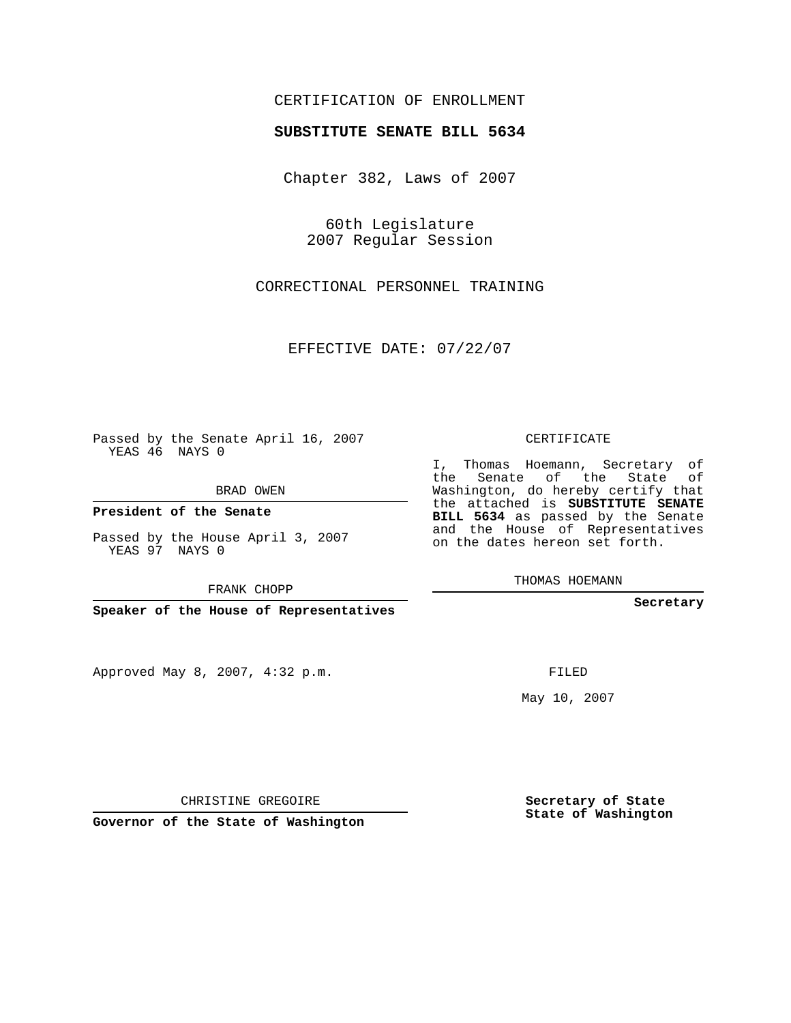# CERTIFICATION OF ENROLLMENT

### **SUBSTITUTE SENATE BILL 5634**

Chapter 382, Laws of 2007

60th Legislature 2007 Regular Session

CORRECTIONAL PERSONNEL TRAINING

EFFECTIVE DATE: 07/22/07

Passed by the Senate April 16, 2007 YEAS 46 NAYS 0

BRAD OWEN

**President of the Senate**

Passed by the House April 3, 2007 YEAS 97 NAYS 0

FRANK CHOPP

**Speaker of the House of Representatives**

Approved May 8, 2007, 4:32 p.m.

CERTIFICATE

I, Thomas Hoemann, Secretary of the Senate of the State of Washington, do hereby certify that the attached is **SUBSTITUTE SENATE BILL 5634** as passed by the Senate and the House of Representatives on the dates hereon set forth.

THOMAS HOEMANN

**Secretary**

FILED

May 10, 2007

**Secretary of State State of Washington**

CHRISTINE GREGOIRE

**Governor of the State of Washington**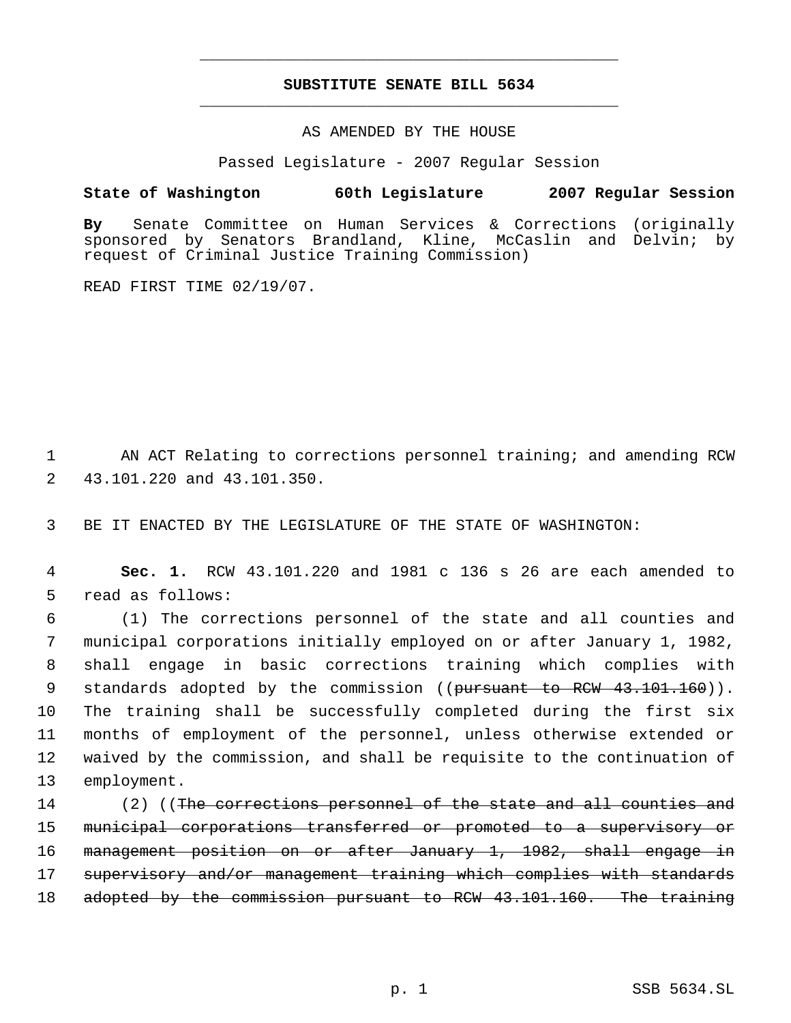# **SUBSTITUTE SENATE BILL 5634** \_\_\_\_\_\_\_\_\_\_\_\_\_\_\_\_\_\_\_\_\_\_\_\_\_\_\_\_\_\_\_\_\_\_\_\_\_\_\_\_\_\_\_\_\_

\_\_\_\_\_\_\_\_\_\_\_\_\_\_\_\_\_\_\_\_\_\_\_\_\_\_\_\_\_\_\_\_\_\_\_\_\_\_\_\_\_\_\_\_\_

AS AMENDED BY THE HOUSE

Passed Legislature - 2007 Regular Session

### **State of Washington 60th Legislature 2007 Regular Session**

**By** Senate Committee on Human Services & Corrections (originally sponsored by Senators Brandland, Kline, McCaslin and Delvin; by request of Criminal Justice Training Commission)

READ FIRST TIME 02/19/07.

 1 AN ACT Relating to corrections personnel training; and amending RCW 2 43.101.220 and 43.101.350.

3 BE IT ENACTED BY THE LEGISLATURE OF THE STATE OF WASHINGTON:

 4 **Sec. 1.** RCW 43.101.220 and 1981 c 136 s 26 are each amended to 5 read as follows:

 (1) The corrections personnel of the state and all counties and municipal corporations initially employed on or after January 1, 1982, shall engage in basic corrections training which complies with 9 standards adopted by the commission ((pursuant to RCW 43.101.160)). The training shall be successfully completed during the first six months of employment of the personnel, unless otherwise extended or waived by the commission, and shall be requisite to the continuation of employment.

14 (2) ((The corrections personnel of the state and all counties and 15 municipal corporations transferred or promoted to a supervisory or 16 management position on or after January 1, 1982, shall engage in 17 supervisory and/or management training which complies with standards 18 adopted by the commission pursuant to RCW 43.101.160. The training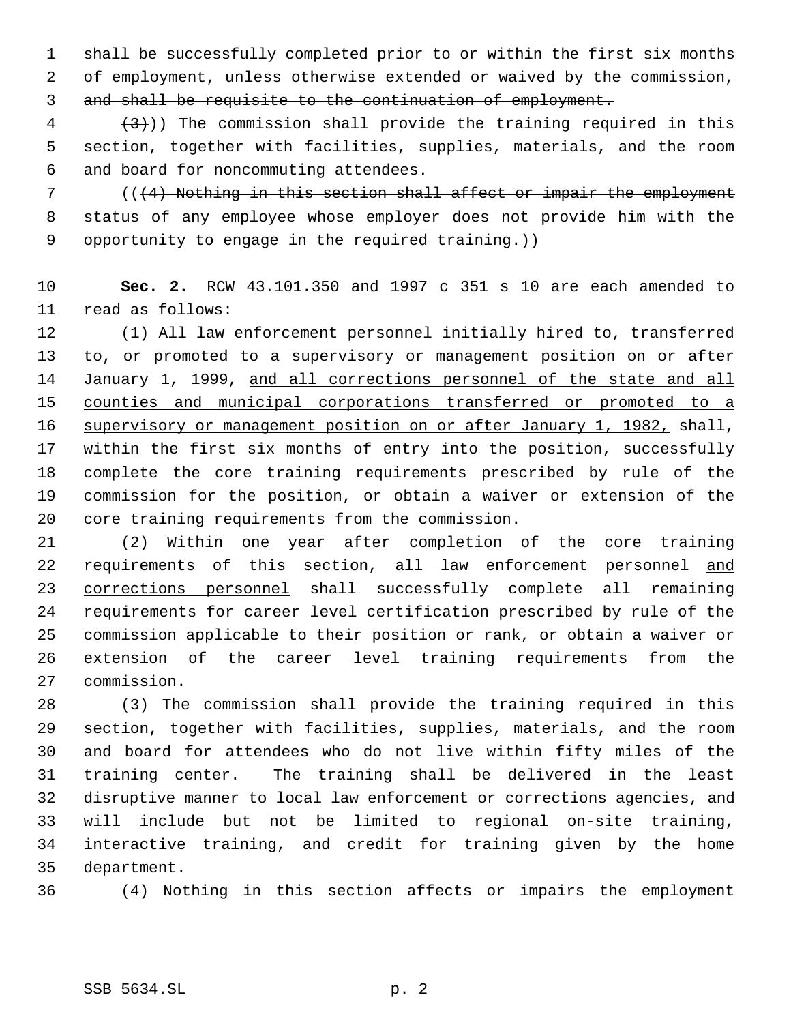1 shall be successfully completed prior to or within the first six months 2 of employment, unless otherwise extended or waived by the commission, and shall be requisite to the continuation of employment.

 $\left(4\right)$  (3)) The commission shall provide the training required in this section, together with facilities, supplies, materials, and the room and board for noncommuting attendees.

 (((4) Nothing in this section shall affect or impair the employment status of any employee whose employer does not provide him with the 9 opportunity to engage in the required training.))

 **Sec. 2.** RCW 43.101.350 and 1997 c 351 s 10 are each amended to read as follows:

 (1) All law enforcement personnel initially hired to, transferred to, or promoted to a supervisory or management position on or after January 1, 1999, and all corrections personnel of the state and all counties and municipal corporations transferred or promoted to a supervisory or management position on or after January 1, 1982, shall, within the first six months of entry into the position, successfully complete the core training requirements prescribed by rule of the commission for the position, or obtain a waiver or extension of the core training requirements from the commission.

 (2) Within one year after completion of the core training 22 requirements of this section, all law enforcement personnel and corrections personnel shall successfully complete all remaining requirements for career level certification prescribed by rule of the commission applicable to their position or rank, or obtain a waiver or extension of the career level training requirements from the commission.

 (3) The commission shall provide the training required in this section, together with facilities, supplies, materials, and the room and board for attendees who do not live within fifty miles of the training center. The training shall be delivered in the least 32 disruptive manner to local law enforcement or corrections agencies, and will include but not be limited to regional on-site training, interactive training, and credit for training given by the home department.

(4) Nothing in this section affects or impairs the employment